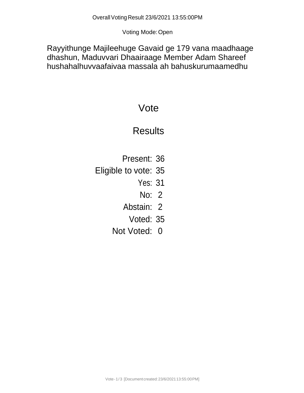Voting Mode:Open

Rayyithunge Majileehuge Gavaid ge 179 vana maadhaage dhashun, Maduvvari Dhaairaage Member Adam Shareef hushahalhuvvaafaivaa massala ah bahuskurumaamedhu

## Vote

## **Results**

- Present: 36
- Eligible to vote: 35
	- Yes: 31
	- No: 2
	- Abstain: 2
		- Voted: 35
	- Not Voted: 0